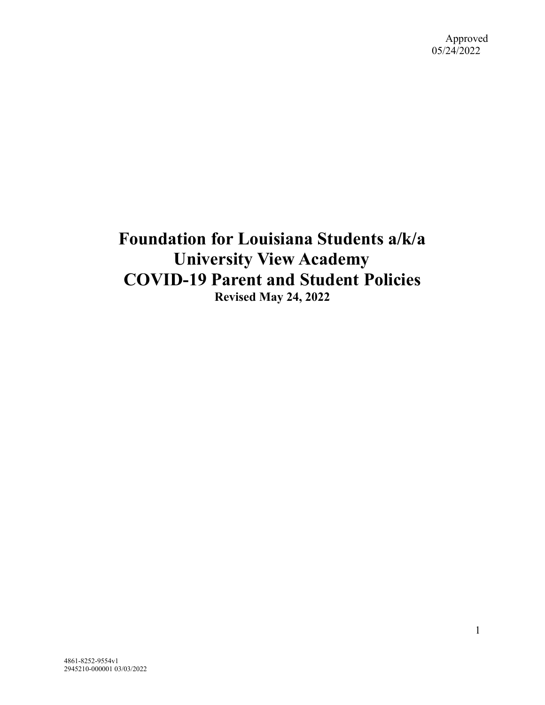# **Foundation for Louisiana Students a/k/a University View Academy COVID-19 Parent and Student Policies Revised May 24, 2022**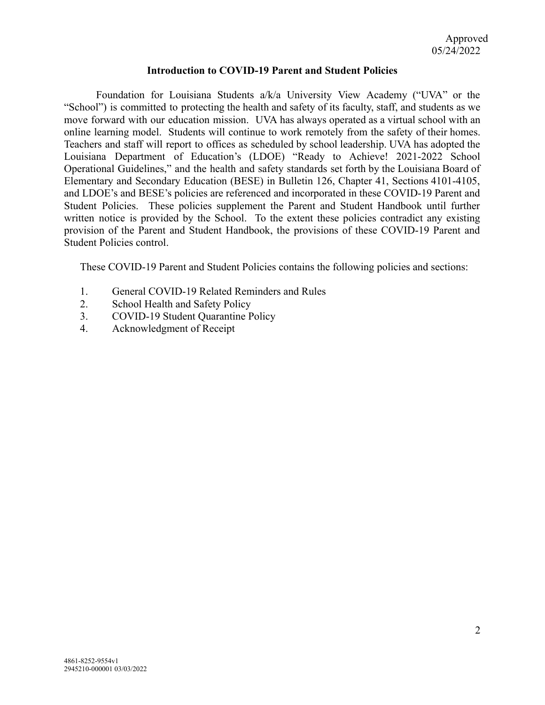### **Introduction to COVID-19 Parent and Student Policies**

Foundation for Louisiana Students a/k/a University View Academy ("UVA" or the "School") is committed to protecting the health and safety of its faculty, staff, and students as we move forward with our education mission. UVA has always operated as a virtual school with an online learning model. Students will continue to work remotely from the safety of their homes. Teachers and staff will report to offices as scheduled by school leadership. UVA has adopted the Louisiana Department of Education's (LDOE) "Ready to Achieve! 2021-2022 School Operational Guidelines," and the health and safety standards set forth by the Louisiana Board of Elementary and Secondary Education (BESE) in Bulletin 126, Chapter 41, Sections 4101-4105, and LDOE's and BESE's policies are referenced and incorporated in these COVID-19 Parent and Student Policies. These policies supplement the Parent and Student Handbook until further written notice is provided by the School. To the extent these policies contradict any existing provision of the Parent and Student Handbook, the provisions of these COVID-19 Parent and Student Policies control.

These COVID-19 Parent and Student Policies contains the following policies and sections:

- 1. General COVID-19 Related Reminders and Rules
- 2. School Health and Safety Policy
- 3. COVID-19 Student Quarantine Policy<br>4. Acknowledgment of Receipt
- 4. Acknowledgment of Receipt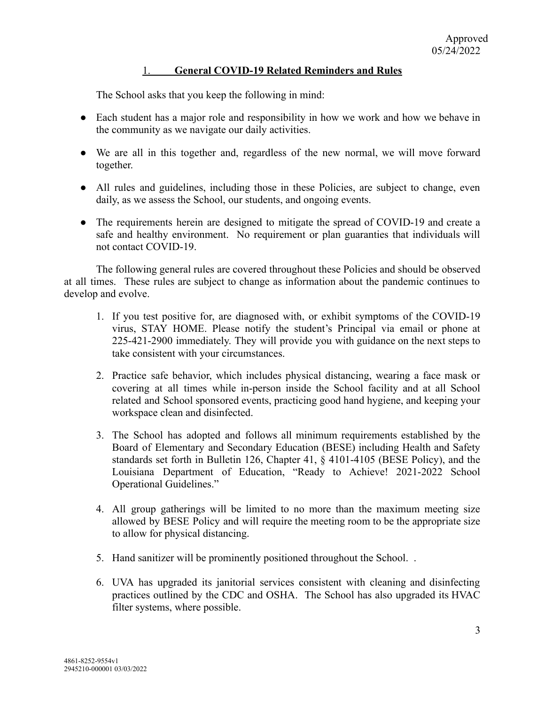# 1. **General COVID-19 Related Reminders and Rules**

The School asks that you keep the following in mind:

- Each student has a major role and responsibility in how we work and how we behave in the community as we navigate our daily activities.
- We are all in this together and, regardless of the new normal, we will move forward together.
- All rules and guidelines, including those in these Policies, are subject to change, even daily, as we assess the School, our students, and ongoing events.
- The requirements herein are designed to mitigate the spread of COVID-19 and create a safe and healthy environment. No requirement or plan guaranties that individuals will not contact COVID-19.

The following general rules are covered throughout these Policies and should be observed at all times. These rules are subject to change as information about the pandemic continues to develop and evolve.

- 1. If you test positive for, are diagnosed with, or exhibit symptoms of the COVID-19 virus, STAY HOME. Please notify the student's Principal via email or phone at 225-421-2900 immediately. They will provide you with guidance on the next steps to take consistent with your circumstances.
- 2. Practice safe behavior, which includes physical distancing, wearing a face mask or covering at all times while in-person inside the School facility and at all School related and School sponsored events, practicing good hand hygiene, and keeping your workspace clean and disinfected.
- 3. The School has adopted and follows all minimum requirements established by the Board of Elementary and Secondary Education (BESE) including Health and Safety standards set forth in Bulletin 126, Chapter 41, § 4101-4105 (BESE Policy), and the Louisiana Department of Education, "Ready to Achieve! 2021-2022 School Operational Guidelines."
- 4. All group gatherings will be limited to no more than the maximum meeting size allowed by BESE Policy and will require the meeting room to be the appropriate size to allow for physical distancing.
- 5. Hand sanitizer will be prominently positioned throughout the School. .
- 6. UVA has upgraded its janitorial services consistent with cleaning and disinfecting practices outlined by the CDC and OSHA. The School has also upgraded its HVAC filter systems, where possible.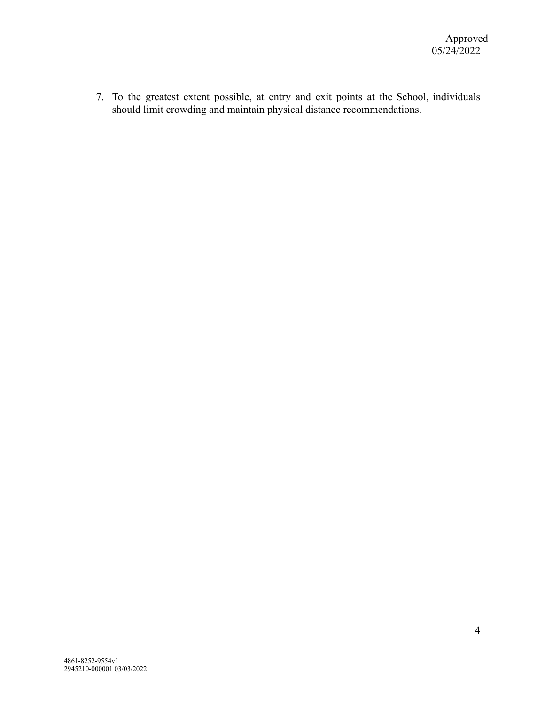7. To the greatest extent possible, at entry and exit points at the School, individuals should limit crowding and maintain physical distance recommendations.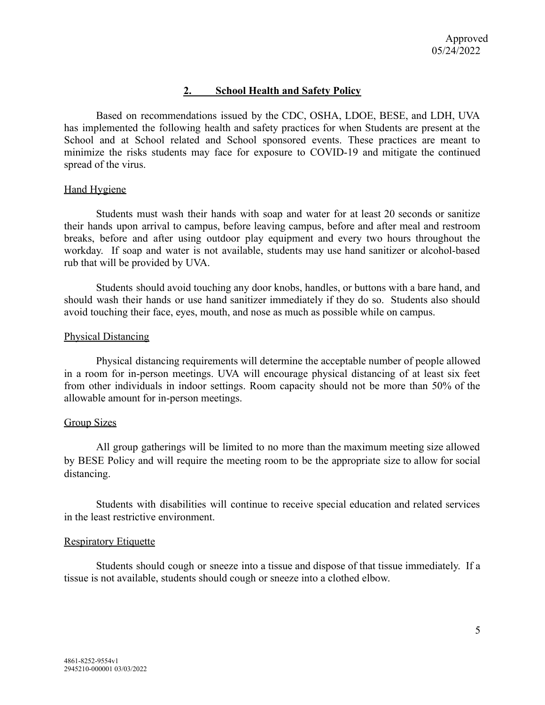# **2. School Health and Safety Policy**

Based on recommendations issued by the CDC, OSHA, LDOE, BESE, and LDH, UVA has implemented the following health and safety practices for when Students are present at the School and at School related and School sponsored events. These practices are meant to minimize the risks students may face for exposure to COVID-19 and mitigate the continued spread of the virus.

## Hand Hygiene

Students must wash their hands with soap and water for at least 20 seconds or sanitize their hands upon arrival to campus, before leaving campus, before and after meal and restroom breaks, before and after using outdoor play equipment and every two hours throughout the workday. If soap and water is not available, students may use hand sanitizer or alcohol-based rub that will be provided by UVA.

Students should avoid touching any door knobs, handles, or buttons with a bare hand, and should wash their hands or use hand sanitizer immediately if they do so. Students also should avoid touching their face, eyes, mouth, and nose as much as possible while on campus.

## Physical Distancing

Physical distancing requirements will determine the acceptable number of people allowed in a room for in-person meetings. UVA will encourage physical distancing of at least six feet from other individuals in indoor settings. Room capacity should not be more than 50% of the allowable amount for in-person meetings.

## Group Sizes

All group gatherings will be limited to no more than the maximum meeting size allowed by BESE Policy and will require the meeting room to be the appropriate size to allow for social distancing.

Students with disabilities will continue to receive special education and related services in the least restrictive environment.

## Respiratory Etiquette

Students should cough or sneeze into a tissue and dispose of that tissue immediately. If a tissue is not available, students should cough or sneeze into a clothed elbow.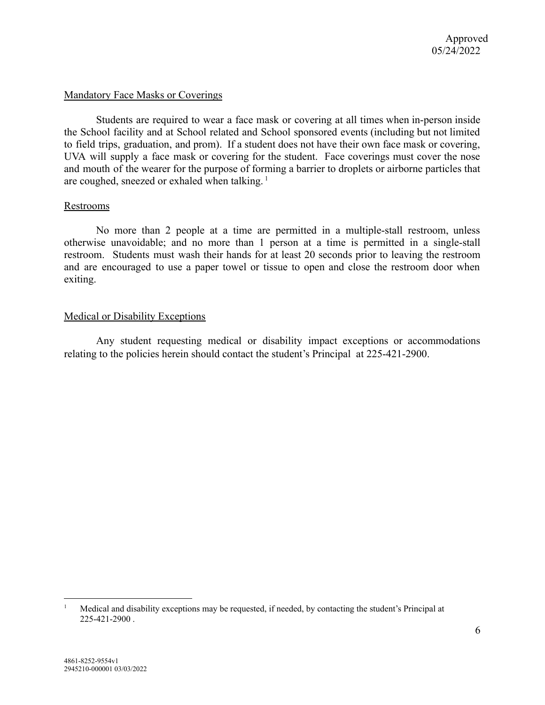## Mandatory Face Masks or Coverings

Students are required to wear a face mask or covering at all times when in-person inside the School facility and at School related and School sponsored events (including but not limited to field trips, graduation, and prom). If a student does not have their own face mask or covering, UVA will supply a face mask or covering for the student. Face coverings must cover the nose and mouth of the wearer for the purpose of forming a barrier to droplets or airborne particles that are coughed, sneezed or exhaled when talking.<sup>1</sup>

### Restrooms

No more than 2 people at a time are permitted in a multiple-stall restroom, unless otherwise unavoidable; and no more than 1 person at a time is permitted in a single-stall restroom. Students must wash their hands for at least 20 seconds prior to leaving the restroom and are encouraged to use a paper towel or tissue to open and close the restroom door when exiting.

### Medical or Disability Exceptions

Any student requesting medical or disability impact exceptions or accommodations relating to the policies herein should contact the student's Principal at 225-421-2900.

<sup>1</sup> Medical and disability exceptions may be requested, if needed, by contacting the student's Principal at 225-421-2900 .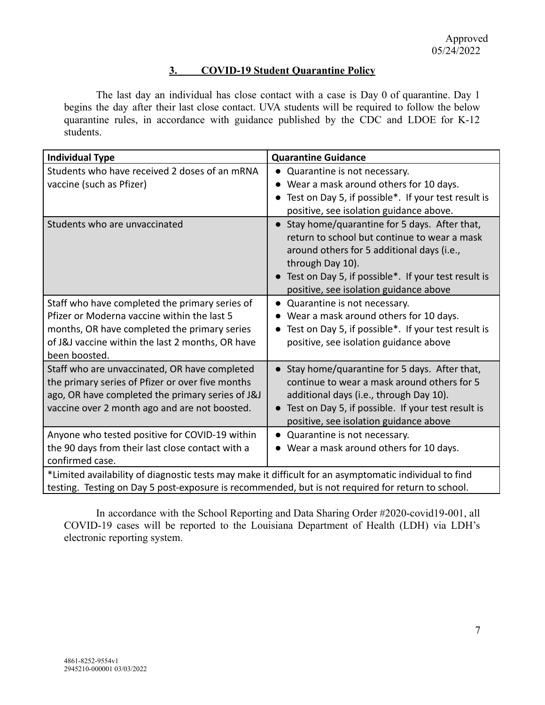# **3. COVID-19 Student Quarantine Policy**

The last day an individual has close contact with a case is Day 0 of quarantine. Day 1 begins the day after their last close contact. UVA students will be required to follow the below quarantine rules, in accordance with guidance published by the CDC and LDOE for K-12 students.

| <b>Individual Type</b>                                                                                                                                                                                             | <b>Quarantine Guidance</b>                                                                                                                                                                                                                                                                |
|--------------------------------------------------------------------------------------------------------------------------------------------------------------------------------------------------------------------|-------------------------------------------------------------------------------------------------------------------------------------------------------------------------------------------------------------------------------------------------------------------------------------------|
| Students who have received 2 doses of an mRNA<br>vaccine (such as Pfizer)                                                                                                                                          | Quarantine is not necessary.<br>$\bullet$<br>• Wear a mask around others for 10 days.<br>• Test on Day 5, if possible*. If your test result is<br>positive, see isolation guidance above.                                                                                                 |
| Students who are unvaccinated                                                                                                                                                                                      | Stay home/quarantine for 5 days. After that,<br>$\bullet$<br>return to school but continue to wear a mask<br>around others for 5 additional days (i.e.,<br>through Day 10).<br>Test on Day 5, if possible*. If your test result is<br>$\bullet$<br>positive, see isolation guidance above |
| Staff who have completed the primary series of<br>Pfizer or Moderna vaccine within the last 5<br>months, OR have completed the primary series<br>of J&J vaccine within the last 2 months, OR have<br>been boosted. | Quarantine is not necessary.<br>$\bullet$<br>• Wear a mask around others for 10 days.<br>Test on Day 5, if possible*. If your test result is<br>$\bullet$<br>positive, see isolation guidance above                                                                                       |
| Staff who are unvaccinated, OR have completed<br>the primary series of Pfizer or over five months<br>ago, OR have completed the primary series of J&J<br>vaccine over 2 month ago and are not boosted.             | • Stay home/quarantine for 5 days. After that,<br>continue to wear a mask around others for 5<br>additional days (i.e., through Day 10).<br>• Test on Day 5, if possible. If your test result is<br>positive, see isolation guidance above                                                |
| Anyone who tested positive for COVID-19 within<br>the 90 days from their last close contact with a<br>confirmed case.                                                                                              | • Quarantine is not necessary.<br>• Wear a mask around others for 10 days.                                                                                                                                                                                                                |
| *Limited availability of diagnostic tests may make it difficult for an asymptomatic individual to find<br>testing. Testing on Day 5 post-exposure is recommended, but is not required for return to school.        |                                                                                                                                                                                                                                                                                           |

In accordance with the School Reporting and Data Sharing Order #2020-covid19-001, all COVID-19 cases will be reported to the Louisiana Department of Health (LDH) via LDH's electronic reporting system.